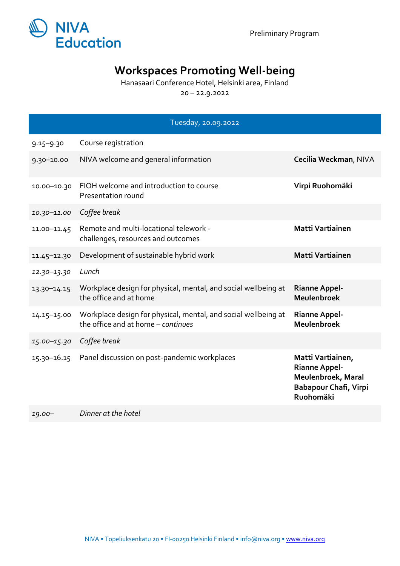

## **Workspaces Promoting Well-being**

Hanasaari Conference Hotel, Helsinki area, Finland

20 – 22.9.2022

|                 | Tuesday, 20.09.2022                                                                                  |                                                                                                              |
|-----------------|------------------------------------------------------------------------------------------------------|--------------------------------------------------------------------------------------------------------------|
| $9.15 - 9.30$   | Course registration                                                                                  |                                                                                                              |
| $9.30 - 10.00$  | NIVA welcome and general information                                                                 | Cecilia Weckman, NIVA                                                                                        |
| 10.00-10.30     | FIOH welcome and introduction to course<br>Presentation round                                        | Virpi Ruohomäki                                                                                              |
| 10.30-11.00     | Coffee break                                                                                         |                                                                                                              |
| 11.00-11.45     | Remote and multi-locational telework -<br>challenges, resources and outcomes                         | <b>Matti Vartiainen</b>                                                                                      |
| 11.45-12.30     | Development of sustainable hybrid work                                                               | <b>Matti Vartiainen</b>                                                                                      |
| 12.30-13.30     | Lunch                                                                                                |                                                                                                              |
| 13.30-14.15     | Workplace design for physical, mental, and social wellbeing at<br>the office and at home             | <b>Rianne Appel-</b><br>Meulenbroek                                                                          |
| 14.15-15.00     | Workplace design for physical, mental, and social wellbeing at<br>the office and at home - continues | <b>Rianne Appel-</b><br>Meulenbroek                                                                          |
| 15.00-15.30     | Coffee break                                                                                         |                                                                                                              |
| $15.30 - 16.15$ | Panel discussion on post-pandemic workplaces                                                         | Matti Vartiainen,<br><b>Rianne Appel-</b><br>Meulenbroek, Maral<br><b>Babapour Chafi, Virpi</b><br>Ruohomäki |
|                 | Dinner at the hotel                                                                                  |                                                                                                              |

*19.00– Dinner at the hotel*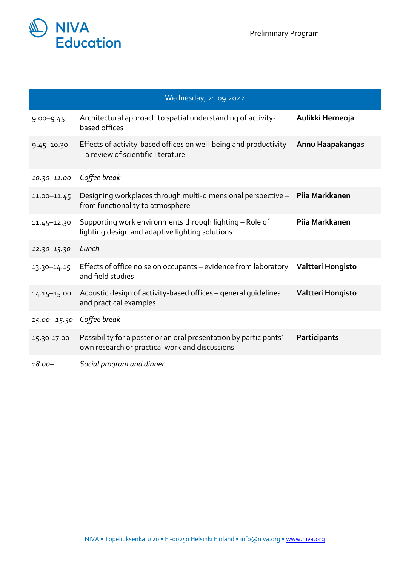

|                          | Wednesday, 21.09.2022                                                                                               |                     |
|--------------------------|---------------------------------------------------------------------------------------------------------------------|---------------------|
| $9.00 - 9.45$            | Architectural approach to spatial understanding of activity-<br>based offices                                       | Aulikki Herneoja    |
| $9.45 - 10.30$           | Effects of activity-based offices on well-being and productivity<br>- a review of scientific literature             | Annu Haapakangas    |
| $10.30 - 11.00$          | Coffee break                                                                                                        |                     |
| 11.00-11.45              | Designing workplaces through multi-dimensional perspective -<br>from functionality to atmosphere                    | Piia Markkanen      |
| 11.45-12.30              | Supporting work environments through lighting - Role of<br>lighting design and adaptive lighting solutions          | Pija Markkanen      |
| 12.30-13.30              | Lunch                                                                                                               |                     |
| 13.30-14.15              | Effects of office noise on occupants - evidence from laboratory<br>and field studies                                | Valtteri Hongisto   |
| $14.15 - 15.00$          | Acoustic design of activity-based offices - general quidelines<br>and practical examples                            | Valtteri Hongisto   |
| 15.00-15.30 Coffee break |                                                                                                                     |                     |
| 15.30-17.00              | Possibility for a poster or an oral presentation by participants'<br>own research or practical work and discussions | <b>Participants</b> |
| $18.00 -$                | Social program and dinner                                                                                           |                     |